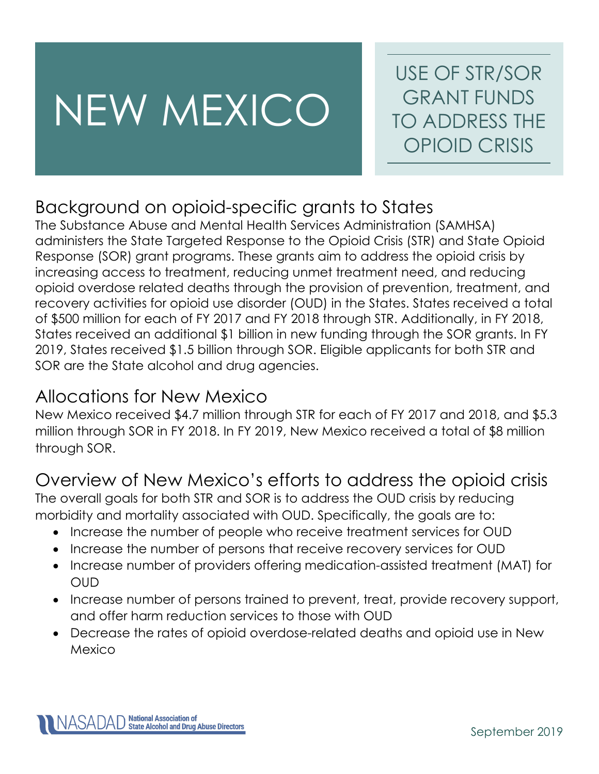# NEW MEXICO

USE OF STR/SOR GRANT FUNDS TO ADDRESS THE OPIOID CRISIS

# Background on opioid-specific grants to States

The Substance Abuse and Mental Health Services Administration (SAMHSA) administers the State Targeted Response to the Opioid Crisis (STR) and State Opioid Response (SOR) grant programs. These grants aim to address the opioid crisis by increasing access to treatment, reducing unmet treatment need, and reducing opioid overdose related deaths through the provision of prevention, treatment, and recovery activities for opioid use disorder (OUD) in the States. States received a total of \$500 million for each of FY 2017 and FY 2018 through STR. Additionally, in FY 2018, States received an additional \$1 billion in new funding through the SOR grants. In FY 2019, States received \$1.5 billion through SOR. Eligible applicants for both STR and SOR are the State alcohol and drug agencies.

### Allocations for New Mexico

New Mexico received \$4.7 million through STR for each of FY 2017 and 2018, and \$5.3 million through SOR in FY 2018. In FY 2019, New Mexico received a total of \$8 million through SOR.

# Overview of New Mexico's efforts to address the opioid crisis

The overall goals for both STR and SOR is to address the OUD crisis by reducing morbidity and mortality associated with OUD. Specifically, the goals are to:

- Increase the number of people who receive treatment services for OUD
- Increase the number of persons that receive recovery services for OUD
- Increase number of providers offering medication-assisted treatment (MAT) for OUD
- Increase number of persons trained to prevent, treat, provide recovery support, and offer harm reduction services to those with OUD
- Decrease the rates of opioid overdose-related deaths and opioid use in New Mexico

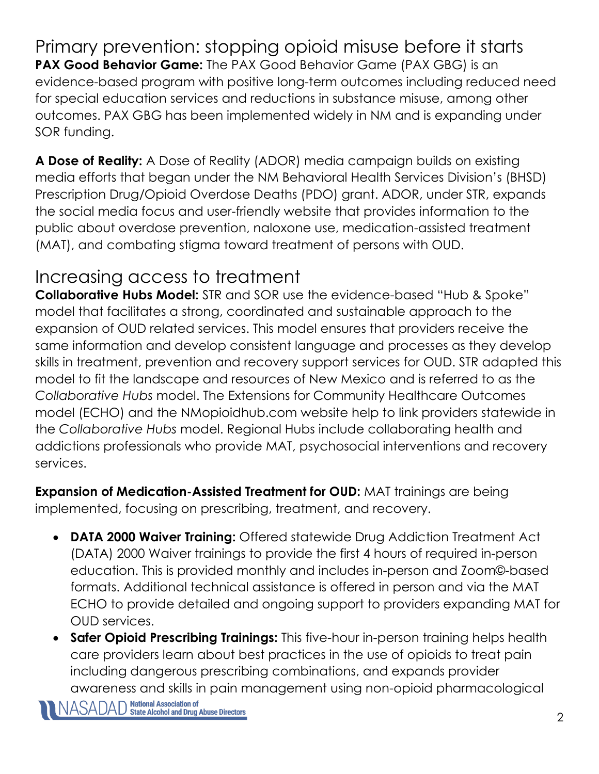Primary prevention: stopping opioid misuse before it starts **PAX Good Behavior Game:** The PAX Good Behavior Game (PAX GBG) is an evidence-based program with positive long-term outcomes including reduced need for special education services and reductions in substance misuse, among other outcomes. PAX GBG has been implemented widely in NM and is expanding under SOR funding.

**A Dose of Reality:** A Dose of Reality (ADOR) media campaign builds on existing media efforts that began under the NM Behavioral Health Services Division's (BHSD) Prescription Drug/Opioid Overdose Deaths (PDO) grant. ADOR, under STR, expands the social media focus and user-friendly website that provides information to the public about overdose prevention, naloxone use, medication-assisted treatment (MAT), and combating stigma toward treatment of persons with OUD.

# Increasing access to treatment

**Collaborative Hubs Model:** STR and SOR use the evidence-based "Hub & Spoke" model that facilitates a strong, coordinated and sustainable approach to the expansion of OUD related services. This model ensures that providers receive the same information and develop consistent language and processes as they develop skills in treatment, prevention and recovery support services for OUD. STR adapted this model to fit the landscape and resources of New Mexico and is referred to as the *Collaborative Hubs* model. The Extensions for Community Healthcare Outcomes model (ECHO) and the NMopioidhub.com website help to link providers statewide in the *Collaborative Hubs* model. Regional Hubs include collaborating health and addictions professionals who provide MAT, psychosocial interventions and recovery services.

**Expansion of Medication-Assisted Treatment for OUD:** MAT trainings are being implemented, focusing on prescribing, treatment, and recovery.

- **DATA 2000 Waiver Training:** Offered statewide Drug Addiction Treatment Act (DATA) 2000 Waiver trainings to provide the first 4 hours of required in-person education. This is provided monthly and includes in-person and Zoom©-based formats. Additional technical assistance is offered in person and via the MAT ECHO to provide detailed and ongoing support to providers expanding MAT for OUD services.
- **Safer Opioid Prescribing Trainings:** This five-hour in-person training helps health care providers learn about best practices in the use of opioids to treat pain including dangerous prescribing combinations, and expands provider awareness and skills in pain management using non-opioid pharmacological<br>|ASADAD National Association of Nuse Directors All ASADAD State Alcohol and Drug Abuse Directors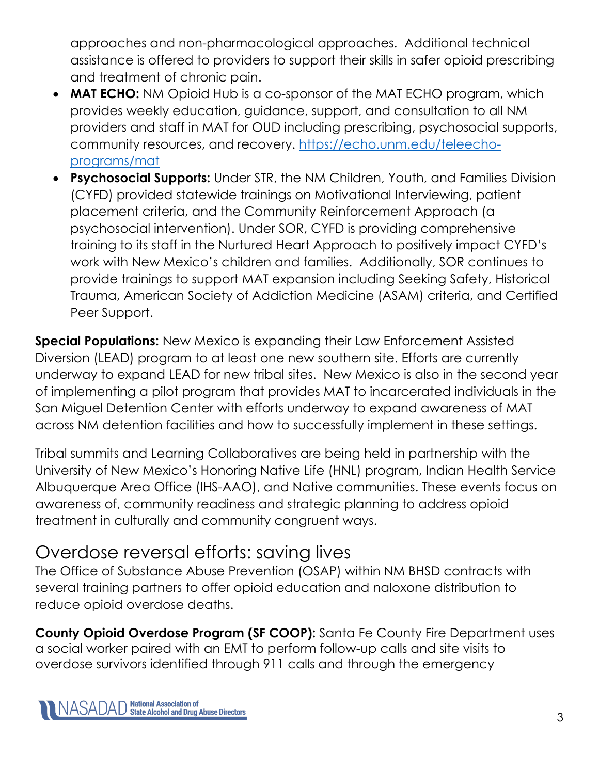approaches and non-pharmacological approaches. Additional technical assistance is offered to providers to support their skills in safer opioid prescribing and treatment of chronic pain.

- **MAT ECHO:** NM Opioid Hub is a co-sponsor of the MAT ECHO program, which provides weekly education, guidance, support, and consultation to all NM providers and staff in MAT for OUD including prescribing, psychosocial supports, community resources, and recovery. [https://echo.unm.edu/teleecho](https://echo.unm.edu/teleecho-programs/mat)[programs/mat](https://echo.unm.edu/teleecho-programs/mat)
- **Psychosocial Supports:** Under STR, the NM Children, Youth, and Families Division (CYFD) provided statewide trainings on Motivational Interviewing, patient placement criteria, and the Community Reinforcement Approach (a psychosocial intervention). Under SOR, CYFD is providing comprehensive training to its staff in the Nurtured Heart Approach to positively impact CYFD's work with New Mexico's children and families. Additionally, SOR continues to provide trainings to support MAT expansion including Seeking Safety, Historical Trauma, American Society of Addiction Medicine (ASAM) criteria, and Certified Peer Support.

**Special Populations:** New Mexico is expanding their Law Enforcement Assisted Diversion (LEAD) program to at least one new southern site. Efforts are currently underway to expand LEAD for new tribal sites. New Mexico is also in the second year of implementing a pilot program that provides MAT to incarcerated individuals in the San Miguel Detention Center with efforts underway to expand awareness of MAT across NM detention facilities and how to successfully implement in these settings.

Tribal summits and Learning Collaboratives are being held in partnership with the University of New Mexico's Honoring Native Life (HNL) program, Indian Health Service Albuquerque Area Office (IHS-AAO), and Native communities. These events focus on awareness of, community readiness and strategic planning to address opioid treatment in culturally and community congruent ways.

### Overdose reversal efforts: saving lives

The Office of Substance Abuse Prevention (OSAP) within NM BHSD contracts with several training partners to offer opioid education and naloxone distribution to reduce opioid overdose deaths.

**County Opioid Overdose Program (SF COOP):** Santa Fe County Fire Department uses a social worker paired with an EMT to perform follow-up calls and site visits to overdose survivors identified through 911 calls and through the emergency